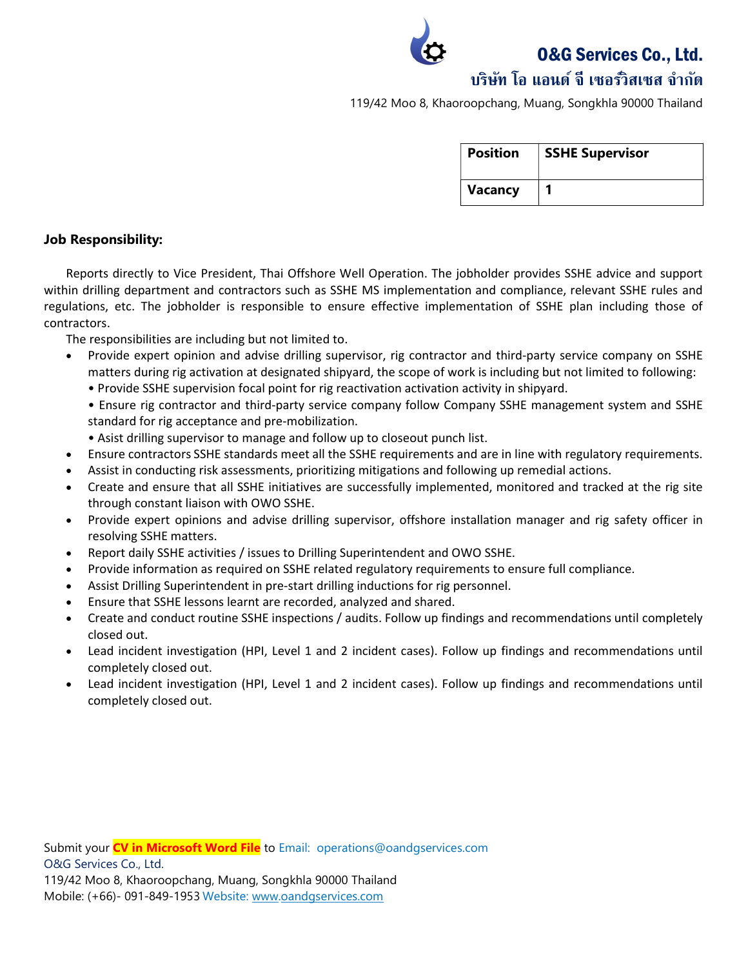O&G Services Co., Ltd.

# บริษทั โอ แอนด์จีเซอรว์ิสเซส จํากดั

119/42 Moo 8, Khaoroopchang, Muang, Songkhla 90000 Thailand

| <b>Position</b> | <b>SSHE Supervisor</b> |
|-----------------|------------------------|
| Vacancy         |                        |

#### Job Responsibility:

Reports directly to Vice President, Thai Offshore Well Operation. The jobholder provides SSHE advice and support within drilling department and contractors such as SSHE MS implementation and compliance, relevant SSHE rules and regulations, etc. The jobholder is responsible to ensure effective implementation of SSHE plan including those of contractors.

The responsibilities are including but not limited to.

- Provide expert opinion and advise drilling supervisor, rig contractor and third-party service company on SSHE matters during rig activation at designated shipyard, the scope of work is including but not limited to following:
	- Provide SSHE supervision focal point for rig reactivation activation activity in shipyard.

• Ensure rig contractor and third-party service company follow Company SSHE management system and SSHE standard for rig acceptance and pre-mobilization.

- Asist drilling supervisor to manage and follow up to closeout punch list.
- Ensure contractors SSHE standards meet all the SSHE requirements and are in line with regulatory requirements.
- Assist in conducting risk assessments, prioritizing mitigations and following up remedial actions.
- Create and ensure that all SSHE initiatives are successfully implemented, monitored and tracked at the rig site through constant liaison with OWO SSHE.
- Provide expert opinions and advise drilling supervisor, offshore installation manager and rig safety officer in resolving SSHE matters.
- Report daily SSHE activities / issues to Drilling Superintendent and OWO SSHE.
- Provide information as required on SSHE related regulatory requirements to ensure full compliance.
- Assist Drilling Superintendent in pre-start drilling inductions for rig personnel.
- Ensure that SSHE lessons learnt are recorded, analyzed and shared.
- Create and conduct routine SSHE inspections / audits. Follow up findings and recommendations until completely closed out.
- Lead incident investigation (HPI, Level 1 and 2 incident cases). Follow up findings and recommendations until completely closed out.
- Lead incident investigation (HPI, Level 1 and 2 incident cases). Follow up findings and recommendations until completely closed out.